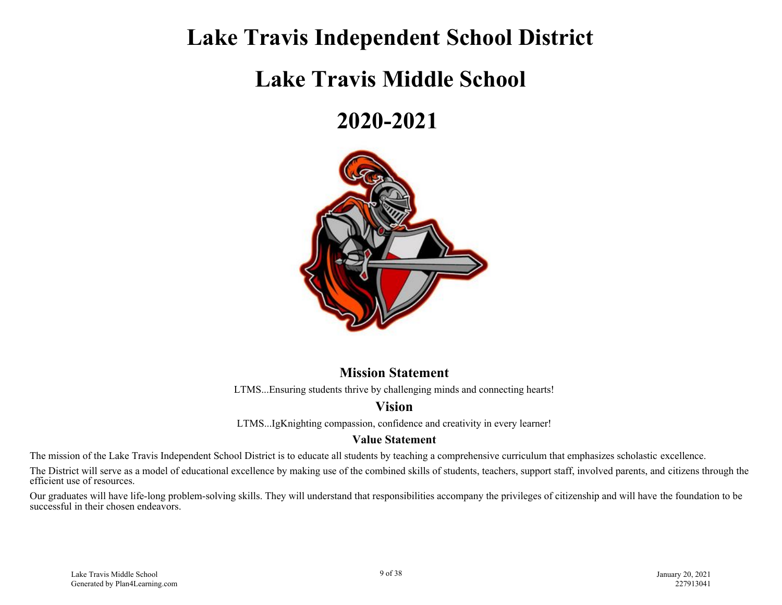### **Lake Travis Independent School District**

## **Lake Travis Middle School**

## **2020-2021**



#### **Mission Statement**

LTMS...Ensuring students thrive by challenging minds and connecting hearts!

### **Vision**

LTMS...IgKnighting compassion, confidence and creativity in every learner!

#### **Value Statement**

The mission of the Lake Travis Independent School District is to educate all students by teaching a comprehensive curriculum that emphasizes scholastic excellence.

The District will serve as a model of educational excellence by making use of the combined skills of students, teachers, support staff, involved parents, and citizens through the efficient use of resources.

Our graduates will have life-long problem-solving skills. They will understand that responsibilities accompany the privileges of citizenship and will have the foundation to be successful in their chosen endeavors.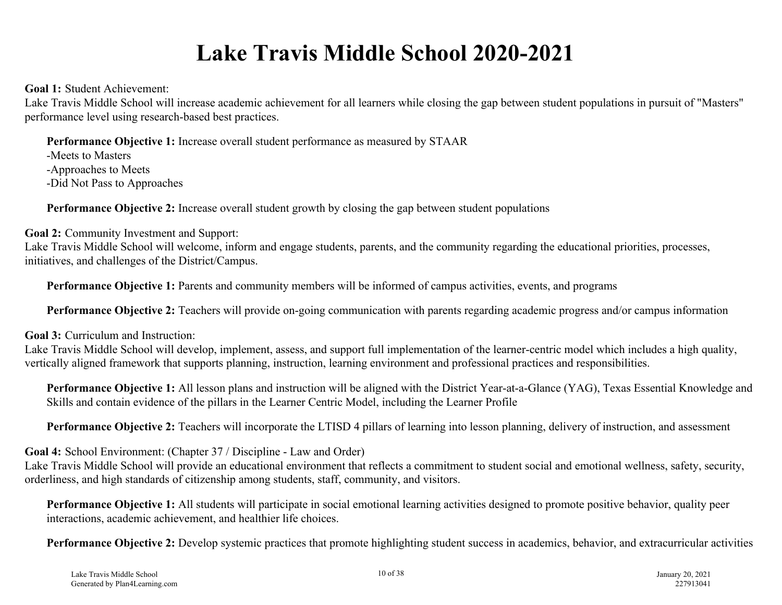# **Lake Travis Middle School 2020-2021**

**Goal 1:** Student Achievement:

Lake Travis Middle School will increase academic achievement for all learners while closing the gap between student populations in pursuit of "Masters" performance level using research-based best practices.

**Performance Objective 1:** Increase overall student performance as measured by STAAR

-Meets to Masters -Approaches to Meets -Did Not Pass to Approaches

**Performance Objective 2:** Increase overall student growth by closing the gap between student populations

**Goal 2:** Community Investment and Support:

Lake Travis Middle School will welcome, inform and engage students, parents, and the community regarding the educational priorities, processes, initiatives, and challenges of the District/Campus.

**Performance Objective 1:** Parents and community members will be informed of campus activities, events, and programs

**Performance Objective 2:** Teachers will provide on-going communication with parents regarding academic progress and/or campus information

**Goal 3:** Curriculum and Instruction:

Lake Travis Middle School will develop, implement, assess, and support full implementation of the learner-centric model which includes a high quality, vertically aligned framework that supports planning, instruction, learning environment and professional practices and responsibilities.

**Performance Objective 1:** All lesson plans and instruction will be aligned with the District Year-at-a-Glance (YAG), Texas Essential Knowledge and Skills and contain evidence of the pillars in the Learner Centric Model, including the Learner Profile

**Performance Objective 2:** Teachers will incorporate the LTISD 4 pillars of learning into lesson planning, delivery of instruction, and assessment

**Goal 4:** School Environment: (Chapter 37 / Discipline - Law and Order)

Lake Travis Middle School will provide an educational environment that reflects a commitment to student social and emotional wellness, safety, security, orderliness, and high standards of citizenship among students, staff, community, and visitors.

**Performance Objective 1:** All students will participate in social emotional learning activities designed to promote positive behavior, quality peer interactions, academic achievement, and healthier life choices.

**Performance Objective 2:** Develop systemic practices that promote highlighting student success in academics, behavior, and extracurricular activities